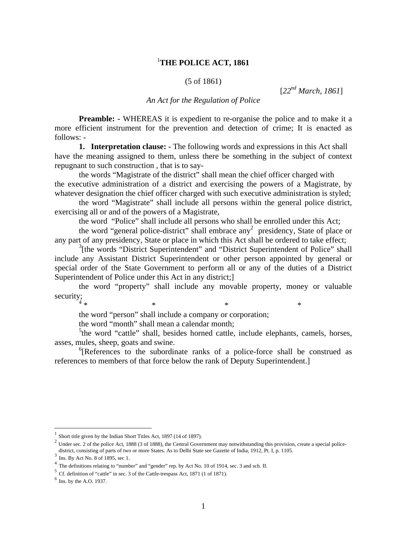# <sup>1</sup> **THE POLICE ACT, 1861**

## (5 of 1861)

[*22nd March, 1861*]

## *An Act for the Regulation of Police*

**Preamble:** - WHEREAS it is expedient to re-organise the police and to make it a more efficient instrument for the prevention and detection of crime; It is enacted as follows: -

**1. Interpretation clause: -** The following words and expressions in this Act shall have the meaning assigned to them, unless there be something in the subject of context repugnant to such construction , that is to say-

the words "Magistrate of the district" shall mean the chief officer charged with the executive administration of a district and exercising the powers of a Magistrate, by whatever designation the chief officer charged with such executive administration is styled;

 the word "Magistrate" shall include all persons within the general police district, exercising all or and of the powers of a Magistrate,

the word "Police" shall include all persons who shall be enrolled under this Act;

the word "general police-district" shall embrace any<sup>2</sup> presidency, State of place or any part of any presidency, State or place in which this Act shall be ordered to take effect;

<sup>3</sup>[the words "District Superintendent" and "District Superintendent of Police" shall include any Assistant District Superintendent or other person appointed by general or special order of the State Government to perform all or any of the duties of a District Superintendent of Police under this Act in any district;

 the word "property" shall include any movable property, money or valuable  $\text{security};$ 

 $*$   $*$   $*$   $*$   $*$ 

the word "person" shall include a company or corporation;

the word "month" shall mean a calendar month;

<sup>5</sup>the word "cattle" shall, besides horned cattle, include elephants, camels, horses, asses, mules, sheep, goats and swine.

<sup>6</sup>[References to the subordinate ranks of a police-force shall be construed as references to members of that force below the rank of Deputy Superintendent.]

 $1$  Short title given by the Indian Short Titles Act, 1897 (14 of 1897).

 $2$  Under sec. 2 of the police Act, 1888 (3 of 1888), the Central Government may notwithstanding this provision, create a special policedistrict, consisting of parts of two or more States. As to Delhi State see Gazette of India, 1912, Pt. I, p. 1105.

 $3 \text{ Ins. By Act No. 8 of 1895, sec 1.}$ 

<sup>4</sup> The definitions relating to "number" and "gender" rep. by Act No. 10 of 1914, sec. 3 and sch. II.

<sup>5</sup> Cf. definition of "cattle" in sec. 3 of the Cattle-trespass Act, 1871 (1 of 1871).

 $<sup>6</sup>$  Ins. by the A.O. 1937.</sup>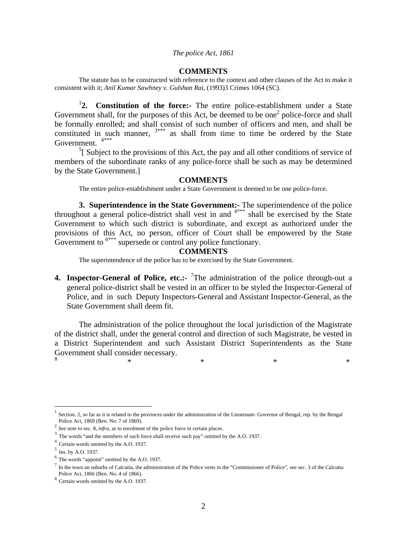#### **COMMENTS**

The statute has to be constructed with reference to the context and other clauses of the Act to make it consistent with it; *Anil Kumar Sawhney v. Gulshan Rai,* (1993)3 Crimes 1064 (SC).

<sup>1</sup>2. Constitution of the force:- The entire police-establishment under a State Government shall, for the purposes of this Act, be deemed to be one<sup>2</sup> police-force and shall be formally enrolled; and shall consist of such number of officers and men, and shall be constituted in such manner,  $3***$  as shall from time to time be ordered by the State Government.<sup>4</sup>

 $<sup>5</sup>$ [ Subject to the provisions of this Act, the pay and all other conditions of service of</sup> members of the subordinate ranks of any police-force shall be such as may be determined by the State Government.]

#### **COMMENTS**

The entire police-establishment under a State Government is deemed to be one police-force.

**3. Superintendence in the State Government:-** The superintendence of the police throughout a general police-district shall vest in and  $4***$  shall be exercised by the State Government to which such district is subordinate, and except as authorized under the provisions of this Act, no person, officer of Court shall be empowered by the State Government to  $6***$  supersede or control any police functionary.

## **COMMENTS**

The superintendence of the police has to be exercised by the State Government.

**4. Inspector-General of Police, etc.:-** <sup>7</sup>The administration of the police through-out a general police-district shall be vested in an officer to be styled the Inspector-General of Police, and in such Deputy Inspectors-General and Assistant Inspector-General, as the State Government shall deem fit.

 The administration of the police throughout the local jurisdiction of the Magistrate of the district shall, under the general control and direction of such Magistrate, be vested in a District Superintendent and such Assistant District Superintendents as the State Government shall consider necessary.  $\begin{array}{ccccccc}\n8 & & & &\ast & & &\ast & & &\ast \\
& \ast & & & & \ast & & & \ast & & &\ast \\
& & & & & & & & \ast & & &\ast\n\end{array}$ 

Section. 2, so far as it is related to the provinces under the administration of the Lieutenant- Governor of Bengal, rep. by the Bengal Police Act, 1869 (Ben. No. 7 of 1869).

<sup>&</sup>lt;sup>2</sup> *See* note to sec. 8, *infra*, as to enrolment of the police force in certain places.

<sup>&</sup>lt;sup>3</sup> The words "and the members of such force shall receive such pay" omitted by the A.O. 1937.

<sup>4</sup> Certain words omitted by the A.O. 1937.

 $^5$  Ins. by A.O. 1937.

<sup>6</sup> The words "appoint" omitted by the A.O. 1937.

 $<sup>7</sup>$  In the town an suburbs of Calcutta, the administration of the Police vests in the "Commissioner of Police", see sec. 3 of the Calcutta</sup> Police Act, 1866 (Ben. No. 4 of 1866).

<sup>8</sup> Certain words omitted by the A.O. 1937.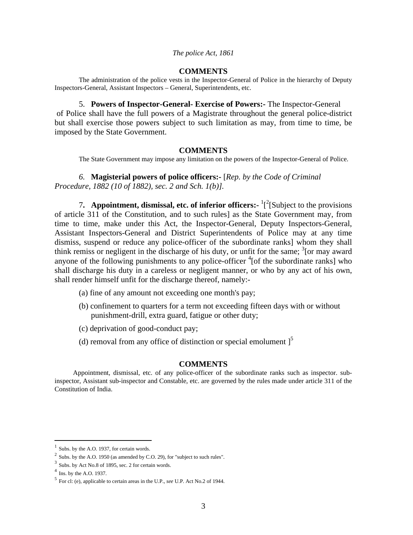#### **COMMENTS**

 The administration of the police vests in the Inspector-General of Police in the hierarchy of Deputy Inspectors-General, Assistant Inspectors – General, Superintendents, etc.

5. **Powers of Inspector-General- Exercise of Powers:-** The Inspector-General of Police shall have the full powers of a Magistrate throughout the general police-district but shall exercise those powers subject to such limitation as may, from time to time, be imposed by the State Government.

## **COMMENTS**

The State Government may impose any limitation on the powers of the Inspector-General of Police.

*6.* **Magisterial powers of police officers:-** [*Rep. by the Code of Criminal Procedure, 1882 (10 of 1882), sec. 2 and Sch. 1(b)].* 

7. **Appointment, dismissal, etc. of inferior officers:** <sup>1</sup>[<sup>2</sup>[Subject to the provisions of article 311 of the Constitution, and to such rules] as the State Government may, from time to time, make under this Act, the Inspector-General, Deputy Inspectors-General, Assistant Inspectors-General and District Superintendents of Police may at any time dismiss, suspend or reduce any police-officer of the subordinate ranks] whom they shall think remiss or negligent in the discharge of his duty, or unfit for the same;  $\frac{3}{2}$  [or may award anyone of the following punishments to any police-officer  ${}^{4}$  [of the subordinate ranks] who shall discharge his duty in a careless or negligent manner, or who by any act of his own, shall render himself unfit for the discharge thereof, namely:-

- (a) fine of any amount not exceeding one month's pay;
- (b) confinement to quarters for a term not exceeding fifteen days with or without punishment-drill, extra guard, fatigue or other duty;
- (c) deprivation of good-conduct pay;
- (d) removal from any office of distinction or special emolument  $\vert$ <sup>5</sup>

## **COMMENTS**

Appointment, dismissal, etc. of any police-officer of the subordinate ranks such as inspector. subinspector, Assistant sub-inspector and Constable, etc. are governed by the rules made under article 311 of the Constitution of India.

Subs. by the A.O. 1937, for certain words.

<sup>&</sup>lt;sup>2</sup> Subs. by the A.O. 1950 (as amended by C.O. 29), for "subject to such rules".

 $3$  Subs. by Act No.8 of 1895, sec. 2 for certain words.

 $<sup>4</sup>$  Ins. by the A.O. 1937.</sup>

<sup>5</sup> For cl: (e), applicable to certain areas in the U.P., *see* U.P. Act No.2 of 1944.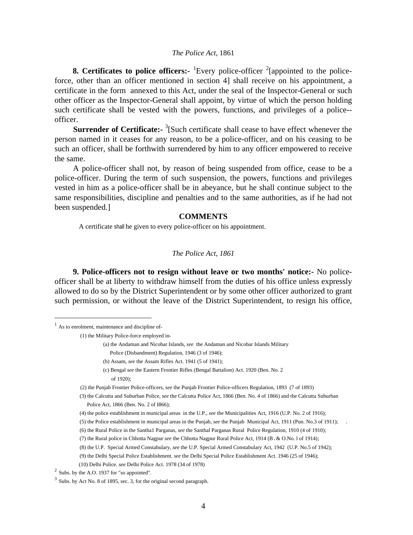**8. Certificates to police officers:** <sup>1</sup>Every police-officer <sup>2</sup>[appointed to the policeforce, other than an officer mentioned in section 4] shall receive on his appointment, a certificate in the form annexed to this Act, under the seal of the Inspector-General or such other officer as the Inspector-General shall appoint, by virtue of which the person holding such certificate shall be vested with the powers, functions, and privileges of a police- officer.

**Surrender of Certificate:-** <sup>3</sup>[Such certificate shall cease to have effect whenever the person named in it ceases for any reason, to be a police-officer, and on his ceasing to be such an officer, shall be forthwith surrendered by him to any officer empowered to receive the same.

A police-officer shall not, by reason of being suspended from office, cease to be a police-officer. During the term of such suspension, the powers, functions and privileges vested in him as a police-officer shall be in abeyance, but he shall continue subject to the same responsibilities, discipline and penalties and to the same authorities, as if he had not been suspended.]

## **COMMENTS**

A certificate shall he given to every police-officer on his appointment.

#### *The Police Act, 1861*

**9. Police-officers not to resign without leave or two months' notice:-** No policeofficer shall be at liberty to withdraw himself from the duties of his office unless expressly allowed to do so by the District Superintendent or by some other officer authorized to grant such permission, or without the leave of the District Superintendent, to resign his office,

 $\overline{a}$ 

- (a) the Andaman and Nicobar Islands, *see* the Andaman and Nicobar Islands Military
	- Police (Disbandment) Regulation, 1946 (3 of 1946);
	- (b) Assam, *see* the Assam Rifles Act. 1941 (5 of 1941);
- (c) Bengal *see* the Eastern Frontier Rifles (Bengal Battalion) Act. 1920 (Ben. No. 2 of 1920);
- (2) the Punjab Frontier Police-officers, *see* the Punjab Frontier Police-officers Regulation, 1893 (7 of 1893)
- (3) the Calcutta and Suburban Police, *see* the Calcutta Police Act, 1866 (Ben. No. 4 of 1866) and the Calcutta Suburban Police Act*,* 1866 (Ben. No. 2 of I866);
- (4) the police establishment in municipal areas in the U.P., *see* the Municipalities Act, 1916 (U.P. No. 2 of 1916);
- (5) the Police establishment in municipal areas in the Punjab, s*ee* the Punjab Municipal Act, 1911 (Pun. No.3 of 1911); .
- (6) the Rural Police in the Santha1 Parganas, *see* the Santhal Parganas Rural Police Regulation, 1910 (4 of 1910);
- (7) the Rural police in Chhotta Nagpur *see* the Chhotta Nagpur Rural Police Act, 1914 (B.& O.No. l of 1914);

(9) the Delhi Special Police Establishment. *see* the Delhi Special Police Establishment Act. 1946 (25 of 1946);

<sup>&</sup>lt;sup>1</sup> As to enrolment, maintenance and discipline of-

 <sup>(1)</sup> the Military Police-force employed in-

 <sup>(8)</sup> the U.P. Special Armed Constabulary, *see* the U.P. Special Armed Constabulary Act, 1942 (U.P. No.5 of 1942);

 <sup>(10)</sup> Delhi Police. *see* Delhi Police Act. 1978 (34 of 1978) 2 Subs. by the A.O. 1937 for "so appointed".

<sup>3</sup> Subs. by Act No. 8 of 1895, sec. 3, for the original second paragraph.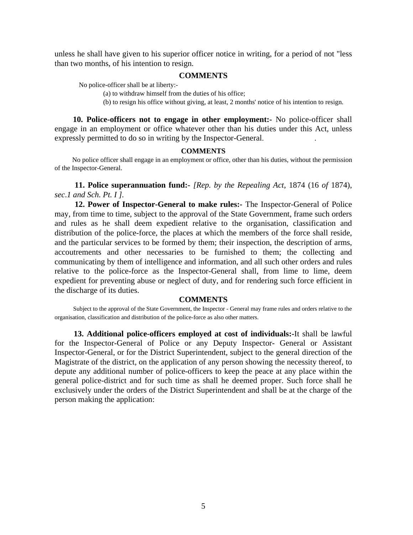unless he shall have given to his superior officer notice in writing, for a period of not "less than two months, of his intention to resign.

## **COMMENTS**

No police-officer shall be at liberty:-

(a) to withdraw himself from the duties of his office;

(b) to resign his office without giving, at least, 2 months' notice of his intention to resign.

**10. Police-officers not to engage in other employment:-** No police-officer shall engage in an employment or office whatever other than his duties under this Act, unless expressly permitted to do so in writing by the Inspector-General. .

#### **COMMENTS**

No police officer shall engage in an employment or office, other than his duties, without the permission of the Inspector-General.

**11. Police superannuation fund:-** *[Rep. by the Repealing Act,* 1874 (16 *of* 1874), *sec*.*1 and Sch. Pt. I ].* 

**12. Power of Inspector-General to make rules:-** The Inspector-General of Police may, from time to time, subject to the approval of the State Government, frame such orders and rules as he shall deem expedient relative to the organisation, classification and distribution of the police-force, the places at which the members of the force shall reside, and the particular services to be formed by them; their inspection, the description of arms, accoutrements and other necessaries to be furnished to them; the collecting and communicating by them of intelligence and information, and all such other orders and rules relative to the police-force as the Inspector-General shall, from lime to lime, deem expedient for preventing abuse or neglect of duty, and for rendering such force efficient in the discharge of its duties.

#### **COMMENTS**

Subject to the approval of the State Government, the Inspector - General may frame rules and orders relative to the organisation, classification and distribution of the police-force as also other matters.

**13. Additional police-officers employed at cost of individuals:-**It shall be lawful for the Inspector-General of Police or any Deputy Inspector- General or Assistant Inspector-General, or for the District Superintendent, subject to the general direction of the Magistrate of the district, on the application of any person showing the necessity thereof, to depute any additional number of police-officers to keep the peace at any place within the general police-district and for such time as shall he deemed proper. Such force shall he exclusively under the orders of the District Superintendent and shall be at the charge of the person making the application: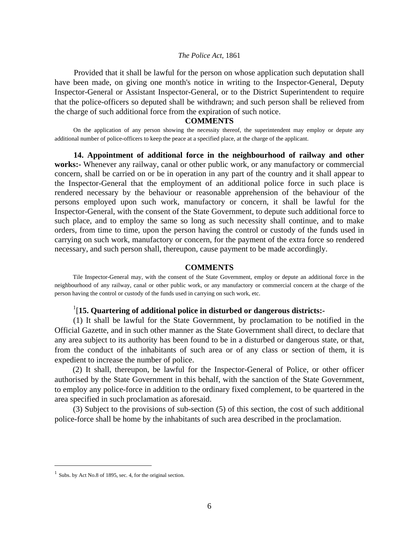Provided that it shall be lawful for the person on whose application such deputation shall have been made, on giving one month's notice in writing to the Inspector-General, Deputy Inspector-General or Assistant Inspector-General, or to the District Superintendent to require that the police-officers so deputed shall be withdrawn; and such person shall be relieved from the charge of such additional force from the expiration of such notice.

#### **COMMENTS**

On the application of any person showing the necessity thereof, the superintendent may employ or depute any additional number of police-officers to keep the peace at a specified place, at the charge of the applicant.

**14. Appointment of additional force in the neighbourhood of railway and other works:-** Whenever any railway, canal or other public work, or any manufactory or commercial concern, shall be carried on or be in operation in any part of the country and it shall appear to the Inspector-General that the employment of an additional police force in such place is rendered necessary by the behaviour or reasonable apprehension of the behaviour of the persons employed upon such work, manufactory or concern, it shall be lawful for the Inspector-General, with the consent of the State Government, to depute such additional force to such place, and to employ the same so long as such necessity shall continue, and to make orders, from time to time, upon the person having the control or custody of the funds used in carrying on such work, manufactory or concern, for the payment of the extra force so rendered necessary, and such person shall, thereupon, cause payment to be made accordingly.

#### **COMMENTS**

Tile Inspector-General may, with the consent of the State Government, employ or depute an additional force in the neighbourhood of any railway, canal or other public work, or any manufactory or commercial concern at the charge of the person having the control or custody of the funds used in carrying on such work, etc.

## 1 [**15. Quartering of additional police in disturbed or dangerous districts:-**

 (1) It shall be lawful for the State Government, by proclamation to be notified in the Official Gazette, and in such other manner as the State Government shall direct, to declare that any area subject to its authority has been found to be in a disturbed or dangerous state, or that, from the conduct of the inhabitants of such area or of any class or section of them, it is expedient to increase the number of police.

(2) It shall, thereupon, be lawful for the Inspector-General of Police, or other officer authorised by the State Government in this behalf, with the sanction of the State Government, to employ any police-force in addition to the ordinary fixed complement, to be quartered in the area specified in such proclamation as aforesaid.

(3) Subject to the provisions of sub-section (5) of this section, the cost of such additional police-force shall be home by the inhabitants of such area described in the proclamation.

 $1$  Subs. by Act No.8 of 1895, sec. 4, for the original section.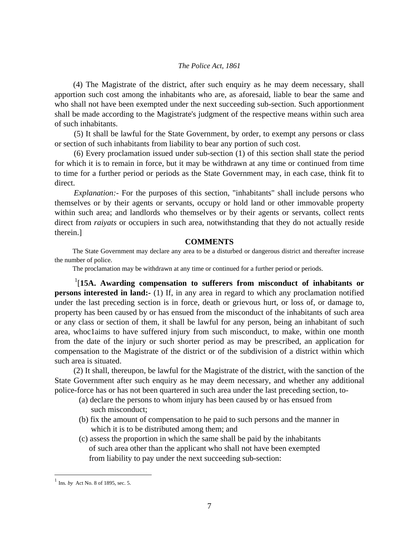(4) The Magistrate of the district, after such enquiry as he may deem necessary, shall apportion such cost among the inhabitants who are, as aforesaid, liable to bear the same and who shall not have been exempted under the next succeeding sub-section. Such apportionment shall be made according to the Magistrate's judgment of the respective means within such area of such inhabitants.

 (5) It shall be lawful for the State Government, by order, to exempt any persons or class or section of such inhabitants from liability to bear any portion of such cost.

 (6) Every proclamation issued under sub-section (1) of this section shall state the period for which it is to remain in force, but it may be withdrawn at any time or continued from time to time for a further period or periods as the State Government may, in each case, think fit to direct.

*Explanation:* For the purposes of this section, "inhabitants" shall include persons who themselves or by their agents or servants, occupy or hold land or other immovable property within such area; and landlords who themselves or by their agents or servants, collect rents direct from *raiyats* or occupiers in such area, notwithstanding that they do not actually reside therein.]

## **COMMENTS**

 The State Government may declare any area to be a disturbed or dangerous district and thereafter increase the number of police.

The proclamation may be withdrawn at any time or continued for a further period or periods.

1 [**15A. Awarding compensation to sufferers from misconduct of inhabitants or persons interested in land:-** (1) If, in any area in regard to which any proclamation notified under the last preceding section is in force, death or grievous hurt, or loss of, or damage to, property has been caused by or has ensued from the misconduct of the inhabitants of such area or any class or section of them, it shall be lawful for any person, being an inhabitant of such area, whoc1aims to have suffered injury from such misconduct, to make, within one month from the date of the injury or such shorter period as may be prescribed, an application for compensation to the Magistrate of the district or of the subdivision of a district within which such area is situated.

(2) It shall, thereupon, be lawful for the Magistrate of the district, with the sanction of the State Government after such enquiry as he may deem necessary, and whether any additional police-force has or has not been quartered in such area under the last preceding section, to-

- (a) declare the persons to whom injury has been caused by or has ensued from such misconduct;
- (b) fix the amount of compensation to he paid to such persons and the manner in which it is to be distributed among them; and
- (c) assess the proportion in which the same shall be paid by the inhabitants of such area other than the applicant who shall not have been exempted from liability to pay under the next succeeding sub-section:

<sup>1</sup> Ins*. by* Act No. 8 of 1895, sec. 5.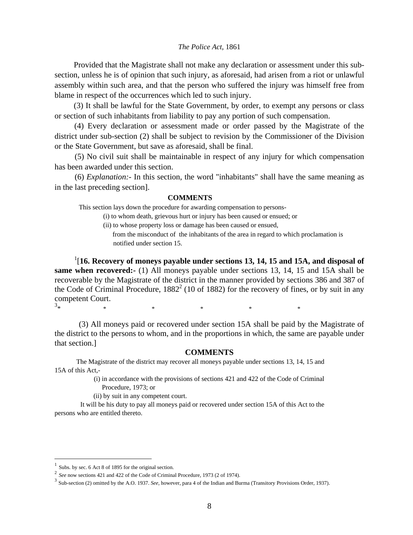Provided that the Magistrate shall not make any declaration or assessment under this subsection, unless he is of opinion that such injury, as aforesaid, had arisen from a riot or unlawful assembly within such area, and that the person who suffered the injury was himself free from blame in respect of the occurrences which led to such injury.

(3) It shall be lawful for the State Government, by order, to exempt any persons or class or section of such inhabitants from liability to pay any portion of such compensation.

(4) Every declaration or assessment made or order passed by the Magistrate of the district under sub-section (2) shall be subject to revision by the Commissioner of the Division or the State Government, but save as aforesaid, shall be final.

 (5) No civil suit shall be maintainable in respect of any injury for which compensation has been awarded under this section.

 (6) *Explanation:-* In this section, the word "inhabitants" shall have the same meaning as in the last preceding section].

#### **COMMENTS**

This section lays down the procedure for awarding compensation to persons-

(i) to whom death, grievous hurt or injury has been caused or ensued; or

(ii) to whose property loss or damage has been caused or ensued, from the misconduct of the inhabitants of the area in regard to which proclamation is notified under section 15.

<sup>1</sup>[16. Recovery of moneys payable under sections 13, 14, 15 and 15A, and disposal of **same when recovered:-** (1) All moneys payable under sections 13, 14, 15 and 15A shall be recoverable by the Magistrate of the district in the manner provided by sections 386 and 387 of the Code of Criminal Procedure,  $1882^2$  (10 of 1882) for the recovery of fines, or by suit in any competent Court.  $3*$  $\begin{matrix} * & * & * \ * & * & * \end{matrix}$ 

(3) All moneys paid or recovered under section 15A shall be paid by the Magistrate of the district to the persons to whom, and in the proportions in which, the same are payable under that section.]

#### **COMMENTS**

 The Magistrate of the district may recover all moneys payable under sections 13, 14, 15 and 15A of this Act,-

> (i) in accordance with the provisions of sections 421 and 422 of the Code of Criminal Procedure, 1973; or

(ii) by suit in any competent court.

 It will be his duty to pay all moneys paid or recovered under section 15A of this Act to the persons who are entitled thereto.

 $<sup>1</sup>$  Subs. by sec. 6 Act 8 of 1895 for the original section.</sup>

<sup>&</sup>lt;sup>2</sup> *See* now sections 421 and 422 of the Code of Criminal Procedure, 1973 (2 of 1974).

<sup>3</sup> Sub-section (2) omitted by the A.O. 1937. *See,* however, para 4 of the Indian and Burma (Transitory Provisions Order, 1937).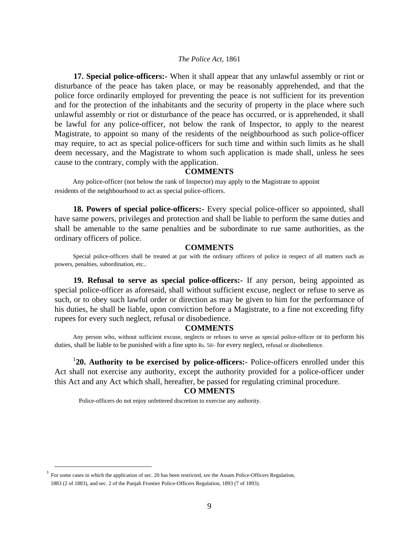**17. Special police-officers:-** When it shall appear that any unlawful assembly or riot or disturbance of the peace has taken place, or may be reasonably apprehended, and that the police force ordinarily employed for preventing the peace is not sufficient for its prevention and for the protection of the inhabitants and the security of property in the place where such unlawful assembly or riot or disturbance of the peace has occurred, or is apprehended, it shall be lawful for any police-officer, not below the rank of Inspector, to apply to the nearest Magistrate, to appoint so many of the residents of the neighbourhood as such police-officer may require, to act as special police-officers for such time and within such limits as he shall deem necessary, and the Magistrate to whom such application is made shall, unless he sees cause to the contrary, comply with the application.

## **COMMENTS**

 Any police-officer (not below the rank of Inspector) may apply to the Magistrate to appoint residents of the neighbourhood to act as special police-officers.

**18. Powers of special police-officers:-** Every special police-officer so appointed, shall have same powers, privileges and protection and shall be liable to perform the same duties and shall be amenable to the same penalties and be subordinate to rue same authorities, as the ordinary officers of police.

## **COMMENTS**

Special police-officers shall be treated at par with the ordinary officers of police in respect of all matters such as powers, penalties, subordination, etc..

**19. Refusal to serve as special police-officers:-** If any person, being appointed as special police-officer as aforesaid, shall without sufficient excuse, neglect or refuse to serve as such, or to obey such lawful order or direction as may be given to him for the performance of his duties, he shall be liable, upon conviction before a Magistrate, to a fine not exceeding fifty rupees for every such neglect, refusal or disobedience.

#### **COMMENTS**

Any person who, without sufficient excuse, neglects or refuses to serve as special police-officer or to perform his duties, shall be liable to be punished with a fine upto Rs. 50/*-* for every neglect, refusal or disobedience.

<sup>1</sup>20. Authority to be exercised by police-officers:- Police-officers enrolled under this Act shall not exercise any authority, except the authority provided for a police-officer under this Act and any Act which shall, hereafter, be passed for regulating criminal procedure.

## **CO MMENTS**

Police-officers do not enjoy unfettered discretion to exercise any authority.

 <sup>1</sup> For some cases in which the application of sec. 20 has been restricted, *see* the Assam Police-Officers Regulation, 1883 (2 of 1883), and sec. 2 of the Punjab Frontier Police-Officers Regulation, 1893 (7 of 1893).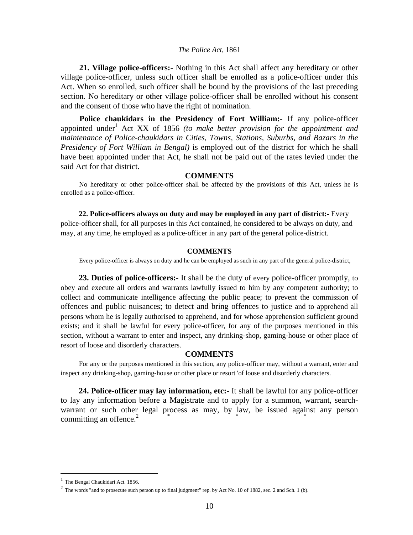**21. Village police-officers:-** Nothing in this Act shall affect any hereditary or other village police-officer, unless such officer shall be enrolled as a police-officer under this Act. When so enrolled, such officer shall be bound by the provisions of the last preceding section. No hereditary or other village police-officer shall be enrolled without his consent and the consent of those who have the right of nomination.

**Police chaukidars in the Presidency of Fort William:-** If any police-officer appointed under<sup>1</sup> Act XX of 1856 (to make better provision for the appointment and *maintenance of Police-chaukidars in Cities, Towns, Stations, Suburbs, and Bazars in the Presidency of Fort William in Bengal)* is employed out of the district for which he shall have been appointed under that Act, he shall not be paid out of the rates levied under the said Act for that district.

## **COMMENTS**

No hereditary or other police-officer shall be affected by the provisions of this Act, unless he is enrolled as a police-officer.

**22. Police-officers always on duty and may be employed in any part of district:-** Every police-officer shall, for all purposes in this Act contained, he considered to be always on duty, and may, at any time, he employed as a police-officer in any part of the general police-district.

#### **COMMENTS**

Every police-officer is always on duty and he can be employed as such in any part of the general police-district,

**23. Duties of police-officers:-** It shall be the duty of every police-officer promptly, to obey and execute all orders and warrants lawfully issued to him by any competent authority; to collect and communicate intelligence affecting the public peace; to prevent the commission of offences and public nuisances; to detect and bring offences to justice and to apprehend all persons whom he is legally authorised to apprehend, and for whose apprehension sufficient ground exists; and it shall be lawful for every police-officer, for any of the purposes mentioned in this section, without a warrant to enter and inspect, any drinking-shop, gaming-house or other place of resort of loose and disorderly characters.

#### **COMMENTS**

For any or the purposes mentioned in this section, any police-officer may, without a warrant, enter and inspect any drinking-shop, gaming-house or other place or resort 'of loose and disorderly characters.

**24. Police-officer may lay information, etc:-** It shall be lawful for any police-officer to lay any information before a Magistrate and to apply for a summon, warrant, searchwarrant or such other legal process as may, by law, be issued against any person committing an offence. $2^2$ 

 $<sup>1</sup>$  The Bengal Chaukidari Act. 1856.</sup>

 $2^2$  The words "and to prosecute such person up to final judgment" rep. by Act No. 10 of 1882, sec. 2 and Sch. 1 (b).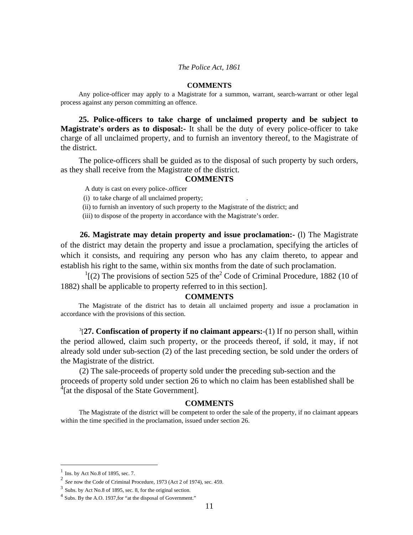#### **COMMENTS**

Any police-officer may apply to a Magistrate for a summon, warrant, search-warrant or other legal process against any person committing an offence.

**25. Police-officers to take charge of unclaimed property and be subject to Magistrate's orders as to disposal:-** It shall be the duty of every police-officer to take charge of all unclaimed property, and to furnish an inventory thereof, to the Magistrate of the district.

The police-officers shall be guided as to the disposal of such property by such orders, as they shall receive from the Magistrate of the district.

## **COMMENTS**

A duty is cast on every police-.officer

(i) to take charge of all unclaimed property; .

(ii) to furnish an inventory of such property to the Magistrate of the district; and

(iii) to dispose of the property in accordance with the Magistrate's order.

**26. Magistrate may detain property and issue proclamation:-** (l) The Magistrate of the district may detain the property and issue a proclamation, specifying the articles of which it consists, and requiring any person who has any claim thereto, to appear and establish his right to the same, within six months from the date of such proclamation.

 $\frac{1}{2}$  (2) The provisions of section 525 of the<sup>2</sup> Code of Criminal Procedure, 1882 (10 of 1882) shall be applicable to property referred to in this section].

#### **COMMENTS**

The Magistrate of the district has to detain all unclaimed property and issue a proclamation in accordance with the provisions of this section.

3 [**27. Confiscation of property if no claimant appears:**-(1) If no person shall, within the period allowed, claim such property, or the proceeds thereof, if sold, it may, if not already sold under sub-section (2) of the last preceding section, be sold under the orders of the Magistrate of the district.

(2) The sale-proceeds of property sold under the preceding sub-section and the proceeds of property sold under section 26 to which no claim has been established shall be <sup>4</sup>[at the disposal of the State Government].

### **COMMENTS**

The Magistrate of the district will be competent to order the sale of the property, if no claimant appears within the time specified in the proclamation, issued under section 26.

 $\frac{1}{2}$  Ins. by Act No.8 of 1895, sec. 7.

<sup>2</sup> *See* now the Code of Criminal Procedure, 1973 (Act 2 of 1974), sec. 459.

<sup>3</sup> Subs. by Act No.8 of 1895, sec. 8, for the original section.

<sup>4</sup> Subs. By the A.O. 1937,for "at the disposal of Government."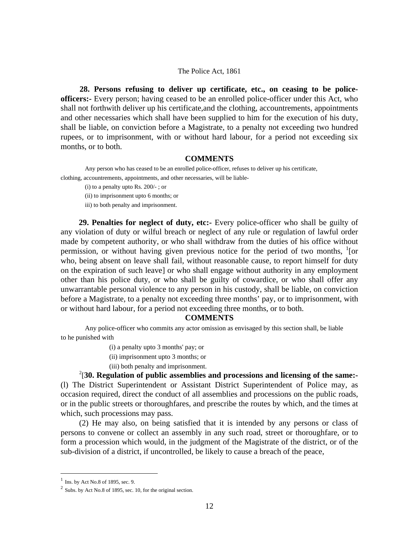**28. Persons refusing to deliver up certificate, etc., on ceasing to be policeofficers:-** Every person; having ceased to be an enrolled police-officer under this Act, who shall not forthwith deliver up his certificate,and the clothing, accountrements, appointments and other necessaries which shall have been supplied to him for the execution of his duty, shall be liable, on conviction before a Magistrate, to a penalty not exceeding two hundred rupees, or to imprisonment, with or without hard labour, for a period not exceeding six months, or to both.

#### **COMMENTS**

Any person who has ceased to be an enrolled police-officer, refuses to deliver up his certificate, clothing, accountrements, appointments, and other necessaries, will be liable-

(i) to a penalty upto Rs. 200/- ; or

(ii) to imprisonment upto 6 months; or

iii) to both penalty and imprisonment.

**29. Penalties for neglect of duty, etc:-** Every police-officer who shall be guilty of any violation of duty or wilful breach or neglect of any rule or regulation of lawful order made by competent authority, or who shall withdraw from the duties of his office without permission, or without having given previous notice for the period of two months,  $\frac{1}{1}$  [or who, being absent on leave shall fail, without reasonable cause, to report himself for duty on the expiration of such leave] or who shall engage without authority in any employment other than his police duty, or who shall be guilty of cowardice, or who shall offer any unwarrantable personal violence to any person in his custody, shall be liable, on conviction before a Magistrate, to a penalty not exceeding three months' pay, or to imprisonment, with or without hard labour, for a period not exceeding three months, or to both.

#### **COMMENTS**

Any police-officer who commits any actor omission as envisaged by this section shall, be liable to he punished with

(i) a penalty upto 3 months' pay; or

(ii) imprisonment upto 3 months; or

(iii) both penalty and imprisonment.

2 [**30. Regulation of public assemblies and processions and licensing of the same:-** (l) The District Superintendent or Assistant District Superintendent of Police may, as occasion required, direct the conduct of all assemblies and processions on the public roads, or in the public streets or thoroughfares, and prescribe the routes by which, and the times at which, such processions may pass.

(2) He may also, on being satisfied that it is intended by any persons or class of persons to convene or collect an assembly in any such road, street or thoroughfare, or to form a procession which would, in the judgment of the Magistrate of the district, or of the sub-division of a district, if uncontrolled, be likely to cause a breach of the peace,

<u>.</u>

 $<sup>1</sup>$  Ins. by Act No.8 of 1895, sec. 9.</sup>

 $2$  Subs. by Act No.8 of 1895, sec. 10, for the original section.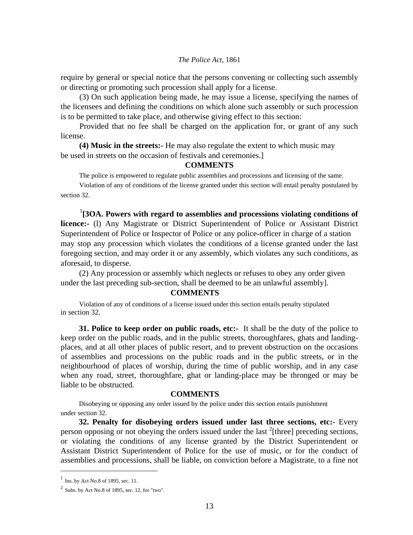require by general or special notice that the persons convening or collecting such assembly or directing or promoting such procession shall apply for a license.

(3) On such application being made, he may issue a license, specifying the names of the licensees and defining the conditions on which alone such assembly or such procession is to be permitted to take place, and otherwise giving effect to this section:

Provided that no fee shall be charged on the application for, or grant of any such license.

**(4) Music in the streets:-** He may also regulate the extent to which music may be used in streets on the occasion of festivals and ceremonies.]

#### **COMMENTS**

The police is empowered to regulate public assemblies and processions and licensing of the same.

 Violation of any of conditions of the license granted under this section will entail penalty postulated by section 32.

<sup>1</sup>[3OA. Powers with regard to assemblies and processions violating conditions of **licence:-** (l) Any Magistrate or District Superintendent of Police or Assistant District Superintendent of Police or Inspector of Police or any police-officer in charge of a station may stop any procession which violates the conditions of a license granted under the last foregoing section, and may order it or any assembly, which violates any such conditions, as aforesaid, to disperse.

 (2) Any procession or assembly which neglects or refuses to obey any order given under the last preceding sub-section, shall be deemed to be an unlawful assembly].

#### **COMMENTS**

 Violation of any of conditions of a license issued under this section entails penalty stipulated in section 32.

**31. Police to keep order on public roads, etc:-** It shall be the duty of the police to keep order on the public roads, and in the public streets, thoroughfares, ghats and landingplaces, and at all other places of public resort, and to prevent obstruction on the occasions of assemblies and processions on the public roads and in the public streets, or in the neighbourhood of places of worship, during the time of public worship, and in any case when any road, street, thoroughfare, ghat or landing-place may be thronged or may be liable to be obstructed.

#### **COMMENTS**

 Disobeying or opposing any order issued by the police under this section entails punishment under section 32.

**32. Penalty for disobeying orders issued under last three sections, etc:-** Every person opposing or not obeying the orders issued under the last  $2$ [three] preceding sections, or violating the conditions of any license granted by the District Superintendent or Assistant District Superintendent of Police for the use of music, or for the conduct of assemblies and processions, shall be liable, on conviction before a Magistrate, to a fine not

<u>.</u>

 $<sup>1</sup>$  Ins. by Act No.8 of 1895, sec. 11.</sup>

 $2$  Subs. by Act No.8 of 1895, sec. 12, for "two".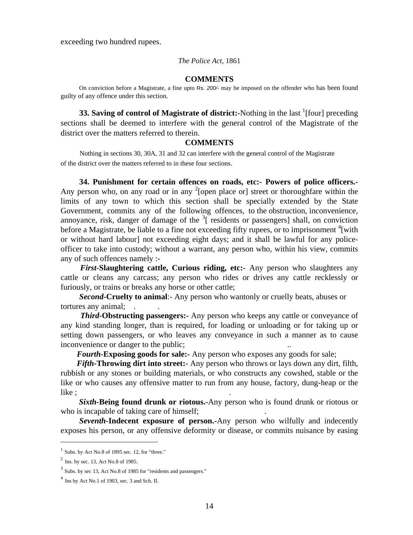exceeding two hundred rupees.

#### *The Police Act,* 1861

## **COMMENTS**

On conviction before a Magistrate, a fine upto Rs. 200/- may be imposed on the offender who has been found guilty of any offence under this section.

**33. Saving of control of Magistrate of district:**-Nothing in the last <sup>1</sup>[four] preceding sections shall be deemed to interfere with the general control of the Magistrate of the district over the matters referred to therein.

#### **COMMENTS**

 Nothing in sections 30, 30A, 31 and 32 can interfere with the general control of the Magistrate of the district over the matters referred to in these four sections.

**34. Punishment for certain offences on roads, etc:- Powers of police officers.-** Any person who, on any road or in any  $2$ [open place or] street or thoroughfare within the limits of any town to which this section shall be specially extended by the State Government, commits any of the following offences, to the obstruction, inconvenience, annoyance, risk, danger of damage of the  $3^{\circ}$  residents or passengers] shall, on conviction before a Magistrate, be liable to a fine not exceeding fifty rupees, or to imprisonment <sup>4</sup>[with or without hard labour] not exceeding eight days; and it shall be lawful for any policeofficer to take into custody; without a warrant, any person who, within his view, commits any of such offences namely :-

*First***-Slaughtering cattle, Curious riding, etc:-** Any person who slaughters any cattle or cleans any carcass; any person who rides or drives any cattle recklessly or furiously, or trains or breaks any horse or other cattle;

*Second-***Cruelty to animal**:- Any person who wantonly or cruelly beats, abuses or tortures any animal;

*Third***-Obstructing passengers:-** Any person who keeps any cattle or conveyance of any kind standing longer, than is required, for loading or unloading or for taking up or setting down passengers, or who leaves any conveyance in such a manner as to cause inconvenience or danger to the public;

 *Fourth-***Exposing goods for sale:-** Any person who exposes any goods for sale;

 *Fifth-***Throwing dirt into street:-** Any person who throws or lays down any dirt, filth, rubbish or any stones or building materials, or who constructs any cowshed, stable or the like or who causes any offensive matter to run from any house, factory, dung-heap or the  $like$ ;  $\qquad \qquad$ 

*Sixth-***Being found drunk or riotous.-**Any person who is found drunk or riotous or who is incapable of taking care of himself;

*Seventh-***Indecent exposure of person.-**Any person who wilfully and indecently exposes his person, or any offensive deformity or disease, or commits nuisance by easing

-

 $<sup>1</sup>$  Subs. by Act No.8 of 1895 sec. 12, for "three."</sup>

 $^{2}$  Ins. by sec. 13, Act No.8 of 1985.

<sup>&</sup>lt;sup>3</sup> Subs. by sec 13, Act No.8 of 1985 for "residents and passengers."

 $<sup>4</sup>$  Ins by Act No.1 of 1903, sec. 3 and Sch. II.</sup>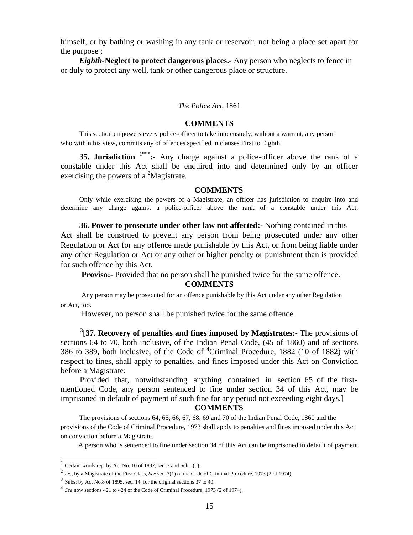himself, or by bathing or washing in any tank or reservoir, not being a place set apart for the purpose ;

*Eighth-***Neglect to protect dangerous places.-** Any person who neglects to fence in or duly to protect any well, tank or other dangerous place or structure.

#### *The Police Act,* 1861

#### **COMMENTS**

 This section empowers every police-officer to take into custody, without a warrant, any person who within his view, commits any of offences specified in clauses First to Eighth.

**35. Jurisdiction** <sup>1</sup>**\*\*\*:-** Any charge against a police-officer above the rank of a constable under this Act shall be enquired into and determined only by an officer exercising the powers of a  ${}^{2}$ Magistrate.

#### **COMMENTS**

Only while exercising the powers of a Magistrate, an officer has jurisdiction to enquire into and determine any charge against a police-officer above the rank of a constable under this Act.

**36. Power to prosecute under other law not affected:-** Nothing contained in this Act shall be construed to prevent any person from being prosecuted under any other Regulation or Act for any offence made punishable by this Act, or from being liable under any other Regulation or Act or any other or higher penalty or punishment than is provided for such offence by this Act.

**Proviso:**- Provided that no person shall be punished twice for the same offence.

## **COMMENTS**

 Any person may be prosecuted for an offence punishable by this Act under any other Regulation or Act, too.

However, no person shall be punished twice for the same offence.

3 [**37. Recovery of penalties and fines imposed by Magistrates:-** The provisions of sections 64 to 70, both inclusive, of the Indian Penal Code, (45 of 1860) and of sections 386 to 389, both inclusive, of the Code of  ${}^{4}$ Criminal Procedure, 1882 (10 of 1882) with respect to fines, shall apply to penalties, and fines imposed under this Act on Conviction before a Magistrate:

Provided that, notwithstanding anything contained in section 65 of the firstmentioned Code, any person sentenced to fine under section 34 of this Act, may be imprisoned in default of payment of such fine for any period not exceeding eight days.]

#### **COMMENTS**

The provisions of sections 64, 65, 66, 67, 68, 69 and 70 of the Indian Penal Code, 1860 and the provisions of the Code of Criminal Procedure, 1973 shall apply to penalties and fines imposed under this Act on conviction before a Magistrate.

A person who is sentenced to fine under section 34 of this Act can be imprisoned in default of payment

 $1$  Certain words rep. by Act No. 10 of 1882, sec. 2 and Sch. I(b).

<sup>2</sup> *i.e.,* by a Magistrate of the First Class, *See* sec. 3(1) of the Code of Criminal Procedure, 1973 (2 of 1974).

<sup>3</sup> Subs: by Act No.8 of 1895, sec. 14, for the original sections 37 to 40.

<sup>4</sup> *See* now sections 421 to 424 of the Code of Criminal Procedure, 1973 (2 of 1974).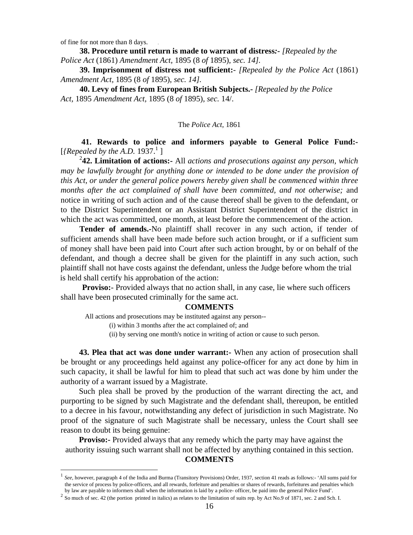of fine for not more than 8 days. .

<u>.</u>

**38. Procedure until return is made to warrant of distress***:- [Repealed by the Police Act* (1861) *Amendment Act,* 1895 (8 *of* 1895), *sec. 14].* 

**39. Imprisonment of distress not sufficient:***- [Repealed by the Police Act* (1861) *Amendment Act,* 1895 (8 *of* 1895), *sec. 14].* 

**40. Levy of fines from European British Subjects.-** *[Repealed by the Police Act,* 1895 *Amendment Act,* 1895 (8 *of* 1895), *sec.* 14/.

#### The *Police Act,* 1861

 **41. Rewards to police and informers payable to General Police Fund:-**  [*{Repealed by the A.D.*  $1937.<sup>1</sup>$ ]

2 **42. Limitation of actions:-** All *actions and prosecutions against any person, which may be lawfully brought for anything done or intended to be done under the provision of this Act, or under the general police powers hereby given shall be commenced within three months after the act complained of shall have been committed, and not otherwise;* and notice in writing of such action and of the cause thereof shall be given to the defendant, or to the District Superintendent or an Assistant District Superintendent of the district in which the act was committed, one month, at least before the commencement of the action.

**Tender of amends.-**No plaintiff shall recover in any such action, if tender of sufficient amends shall have been made before such action brought, or if a sufficient sum of money shall have been paid into Court after such action brought, by or on behalf of the defendant, and though a decree shall be given for the plaintiff in any such action, such plaintiff shall not have costs against the defendant, unless the Judge before whom the trial is held shall certify his approbation of the action:

**Proviso:**- Provided always that no action shall, in any case, lie where such officers shall have been prosecuted criminally for the same act.

#### **COMMENTS**

All actions and prosecutions may be instituted against any person--

(i) within 3 months after the act complained of; and

(ii) by serving one month's notice in writing of action or cause to such person.

**43. Plea that act was done under warrant:-** When any action of prosecution shall be brought or any proceedings held against any police-officer for any act done by him in such capacity, it shall be lawful for him to plead that such act was done by him under the authority of a warrant issued by a Magistrate.

Such plea shall be proved by the production of the warrant directing the act, and purporting to be signed by such Magistrate and the defendant shall, thereupon, be entitled to a decree in his favour, notwithstanding any defect of jurisdiction in such Magistrate. No proof of the signature of such Magistrate shall be necessary, unless the Court shall see reason to doubt its being genuine:

**Proviso:** Provided always that any remedy which the party may have against the authority issuing such warrant shall not be affected by anything contained in this section. **COMMENTS** 

<sup>1</sup> *See,* however, paragraph 4 of the India and Burma (Transitory Provisions) Order, 1937, section 41 reads as follows:- 'All sums paid for the service of process by police-officers, and all rewards, forfeiture and penalties or shares of rewards, forfeitures and penalties which by law are payable to informers shall when the information is laid by a police-offi

<sup>&</sup>lt;sup>2</sup> So much of sec. 42 (the portion printed in italics) as relates to the limitation of suits rep. by Act No.9 of 1871, sec. 2 and Sch. I.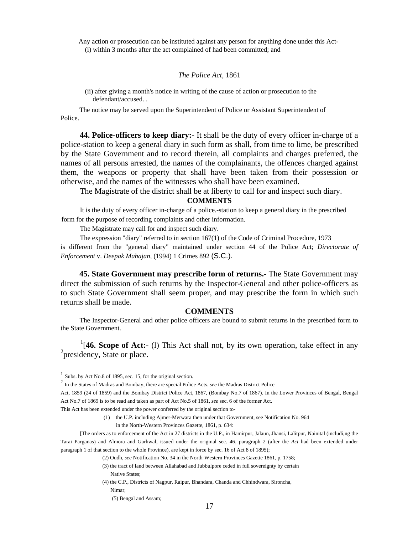Any action or prosecution can be instituted against any person for anything done under this Act- (i) within 3 months after the act complained of had been committed; and

## *The Police Act,* 1861

(ii) after giving a month's notice in writing of the cause of action or prosecution to the defendant/accused. .

 The notice may be served upon the Superintendent of Police or Assistant Superintendent of Police.

**44. Police-officers to keep diary:-** It shall be the duty of every officer in-charge of a police-station to keep a general diary in such form as shall, from time to lime, be prescribed by the State Government and to record therein, all complaints and charges preferred, the names of all persons arrested, the names of the complainants, the offences charged against them, the weapons or property that shall have been taken from their possession or otherwise, and the names of the witnesses who shall have been examined.

The Magistrate of the district shall be at liberty to call for and inspect such diary.

## **COMMENTS**

 It is the duty of every officer in-charge of a police.-station to keep a general diary in the prescribed form for the purpose of recording complaints and other information.

The Magistrate may call for and inspect such diary.

 The expression "diary" referred to in section 167(1) of the Code of Criminal Procedure, 1973 is different from the "general diary" maintained under section 44 of the Police Act; *Directorate of Enforcement* v. *Deepak Mahajan,* (1994) 1 Crimes 892 (S.C.).

**45. State Government may prescribe form of returns.-** The State Government may direct the submission of such returns by the Inspector-General and other police-officers as to such State Government shall seem proper, and may prescribe the form in which such returns shall be made.

## **COMMENTS**

The Inspector-General and other police officers are bound to submit returns in the prescribed form to the State Government.

<sup>1</sup>[46. Scope of Act:- (1) This Act shall not, by its own operation, take effect in any <sup>2</sup> presidency, State or place.

 $1$  Subs. by Act No.8 of 1895, sec. 15, for the original section.

<sup>2</sup> In the States of Madras and Bombay, there are special Police Acts. *see* the Madras District Police

Act, 1859 (24 of 1859) and the Bombay District Police Act, 1867, (Bombay No.7 of 1867). In the Lower Provinces of Bengal, Bengal Act No.7 of 1869 is to be read and taken as part of Act No.5 of 1861, *see* sec. 6 of the former Act.

This Act has been extended under the power conferred by the original section to-

<sup>(1)</sup> the U.P. including Ajmer-Merwara then under that Government, see Notification No. 964

in the North-Western Provinces Gazette, 1861, p. 634:

<sup>[</sup>The orders as to enforcement of the Act in 27 districts in the U.P., in Hamirpur, Jalaun, Jhansi, Lalitpur, Nainital (includi,ng the Tarai Parganas) and Almora and Garhwal, issued under the original sec. 46, paragraph 2 (after the *Act* had been extended under paragraph 1 of that section to the whole Province), are kept in force by sec. 16 of Act 8 of 1895);

<sup>(2)</sup> Oudh, *see* Notification No. 34 in the North-Western Provinces Gazette 1861, p. 1758;

<sup>(3)</sup> the tract of land between Allahabad and Jubbulpore ceded in full sovereignty by certain Native States;

<sup>(4)</sup> the C.P., Districts of Nagpur, Raipur, Bhandara, Chanda and Chhindwara, Sironcha, Nimar;

 <sup>(5)</sup> Bengal and Assam;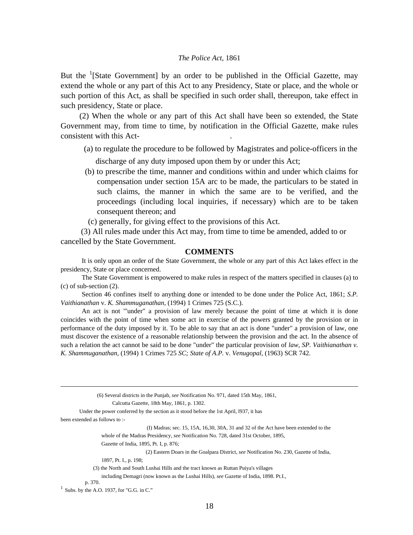But the <sup>1</sup>[State Government] by an order to be published in the Official Gazette, may extend the whole or any part of this Act to any Presidency, State or place, and the whole or such portion of this Act, as shall be specified in such order shall, thereupon, take effect in such presidency, State or place.

(2) When the whole or any part of this Act shall have been so extended, the State Government may, from time to time, by notification in the Official Gazette, make rules consistent with this Act- .

- (a) to regulate the procedure to be followed by Magistrates and police-officers in the discharge of any duty imposed upon them by or under this Act;
- (b) to prescribe the time, manner and conditions within and under which claims for compensation under section 15A arc to be made, the particulars to be stated in such claims, the manner in which the same are to be verified, and the proceedings (including local inquiries, if necessary) which are to be taken consequent thereon; and

(c) generally, for giving effect to the provisions of this Act.

 (3) All rules made under this Act may, from time to time be amended, added to or cancelled by the State Government.

#### **COMMENTS**

It is only upon an order of the State Government, the whole or any part of this Act lakes effect in the presidency, State or place concerned.

 The State Government is empowered to make rules in respect of the matters specified in clauses (a) to (c) of sub-section (2).

 Section 46 confines itself to anything done or intended to be done under the Police Act, 1861; *S.P. Vaithianathan* v. *K. Shammuganathan,* (1994) 1 Crimes 725 (S.C.).

 An act is not "'under" a provision of law merely because the point of time at which it is done coincides with the point of time when some act in exercise of the powers granted by the provision or in performance of the duty imposed by it. To be able to say that an act is done "under" a provision of law, one must discover the existence of a reasonable relationship between the provision and the act. In the absence of such a relation the act cannot be said to be done "under" the particular provision of *law, SP. Vaithianathan v. K. Shammuganathan,* (1994) 1 Crimes 725 *SC; State of A.P.* v. *Venugopal,* (1963) SCR 742.

(6) Several districts in the Punjab, *see* Notification No. 971, dated 15th May, 1861,

Calcutta Gazette, 18th May, 1861, p. 1302.

Under the power conferred by the section as it stood before the 1st April, l937, it has

(I) Madras; sec. 15, 15A, 16,30, 30A, 31 and 32 of the Act have been extended to the

whole of the Madras Presidency, *see* Notification No. 728, dated 31st October, 1895,

Gazette of India, 1895, Pt. I, p. 876;

(2) Eastern Doars in the Goalpara District, *see* Notification No. 230, Gazette of India,

1897, Pt. I., p. 198;

p. 370.

been extended as follows to :-

 <sup>(3)</sup> the North and South Lushai Hills and the tract known as Ruttan Puiya's villages

including Demagri (now known as the Lushai Hills), *see* Gazette of India, 1898. Pt.I.,

 $<sup>1</sup>$  Subs. by the A.O. 1937, for "G.G. in C."</sup>